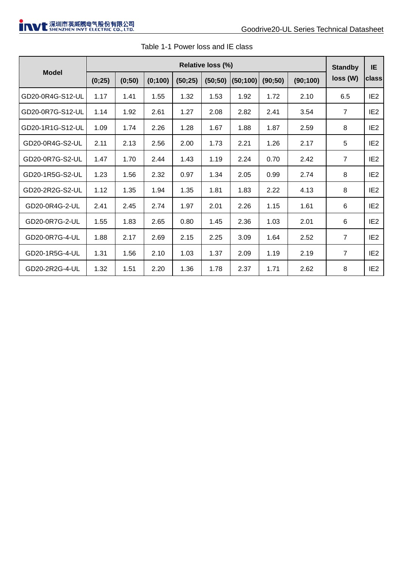|                  | Relative loss (%) |        |         |         |         |          |         | <b>Standby</b> | IE.            |                 |
|------------------|-------------------|--------|---------|---------|---------|----------|---------|----------------|----------------|-----------------|
| Model            | (0;25)            | (0;50) | (0;100) | (50;25) | (50;50) | (50;100) | (90;50) | (90;100)       | loss(W)        | class           |
| GD20-0R4G-S12-UL | 1.17              | 1.41   | 1.55    | 1.32    | 1.53    | 1.92     | 1.72    | 2.10           | 6.5            | IE <sub>2</sub> |
| GD20-0R7G-S12-UL | 1.14              | 1.92   | 2.61    | 1.27    | 2.08    | 2.82     | 2.41    | 3.54           | $\overline{7}$ | IE <sub>2</sub> |
| GD20-1R1G-S12-UL | 1.09              | 1.74   | 2.26    | 1.28    | 1.67    | 1.88     | 1.87    | 2.59           | 8              | IF <sub>2</sub> |
| GD20-0R4G-S2-UL  | 2.11              | 2.13   | 2.56    | 2.00    | 1.73    | 2.21     | 1.26    | 2.17           | 5              | IE <sub>2</sub> |
| GD20-0R7G-S2-UL  | 1.47              | 1.70   | 2.44    | 1.43    | 1.19    | 2.24     | 0.70    | 2.42           | $\overline{7}$ | IE <sub>2</sub> |
| GD20-1R5G-S2-UL  | 1.23              | 1.56   | 2.32    | 0.97    | 1.34    | 2.05     | 0.99    | 2.74           | 8              | IE <sub>2</sub> |
| GD20-2R2G-S2-UL  | 1.12              | 1.35   | 1.94    | 1.35    | 1.81    | 1.83     | 2.22    | 4.13           | 8              | IE <sub>2</sub> |
| GD20-0R4G-2-UL   | 2.41              | 2.45   | 2.74    | 1.97    | 2.01    | 2.26     | 1.15    | 1.61           | 6              | IE <sub>2</sub> |
| GD20-0R7G-2-UL   | 1.55              | 1.83   | 2.65    | 0.80    | 1.45    | 2.36     | 1.03    | 2.01           | 6              | IE <sub>2</sub> |
| GD20-0R7G-4-UL   | 1.88              | 2.17   | 2.69    | 2.15    | 2.25    | 3.09     | 1.64    | 2.52           | $\overline{7}$ | IE <sub>2</sub> |
| GD20-1R5G-4-UL   | 1.31              | 1.56   | 2.10    | 1.03    | 1.37    | 2.09     | 1.19    | 2.19           | $\overline{7}$ | IE <sub>2</sub> |
| GD20-2R2G-4-UL   | 1.32              | 1.51   | 2.20    | 1.36    | 1.78    | 2.37     | 1.71    | 2.62           | 8              | IE <sub>2</sub> |

| Table 1-1 Power loss and IE class |  |
|-----------------------------------|--|
|-----------------------------------|--|